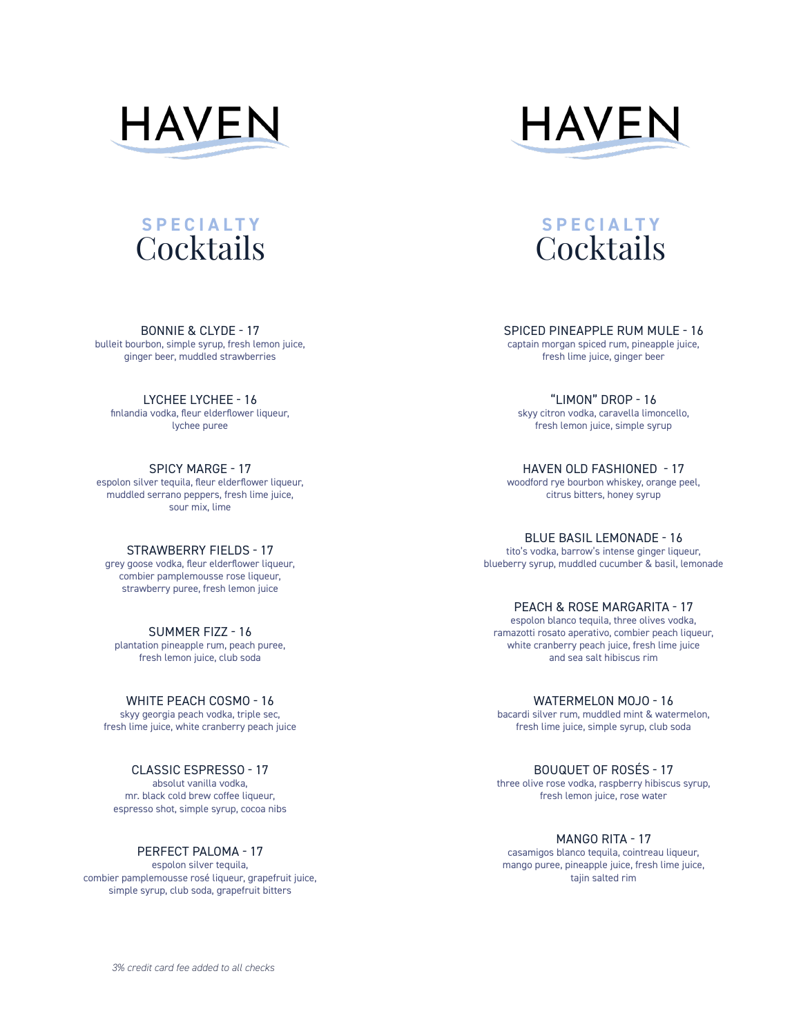

BONNIE & CLYDE - 17 bulleit bourbon, simple syrup, fresh lemon juice, ginger beer, muddled strawberries

LYCHEE LYCHEE - 16 finlandia vodka, fleur elderflower liqueur, lychee puree

SPICY MARGE - 17 espolon silver tequila, fleur elderflower liqueur, muddled serrano peppers, fresh lime juice, sour mix, lime

STRAWBERRY FIELDS - 17 grey goose vodka, fleur elderflower liqueur, combier pamplemousse rose liqueur, strawberry puree, fresh lemon juice

SUMMER FIZZ - 16 plantation pineapple rum, peach puree, fresh lemon juice, club soda

WHITE PEACH COSMO - 16 skyy georgia peach vodka, triple sec, fresh lime juice, white cranberry peach juice

CLASSIC ESPRESSO - 17 absolut vanilla vodka, mr. black cold brew coffee liqueur, espresso shot, simple syrup, cocoa nibs

PERFECT PALOMA - 17 espolon silver tequila, combier pamplemousse rosé liqueur, grapefruit juice, simple syrup, club soda, grapefruit bitters





SPICED PINEAPPLE RUM MULE - 16

captain morgan spiced rum, pineapple juice, fresh lime juice, ginger beer

"LIMON" DROP - 16 skyy citron vodka, caravella limoncello, fresh lemon juice, simple syrup

HAVEN OLD FASHIONED - 17 woodford rye bourbon whiskey, orange peel, citrus bitters, honey syrup

BLUE BASIL LEMONADE - 16 tito's vodka, barrow's intense ginger liqueur, blueberry syrup, muddled cucumber & basil, lemonade

PEACH & ROSE MARGARITA - 17 espolon blanco tequila, three olives vodka, ramazotti rosato aperativo, combier peach liqueur, white cranberry peach juice, fresh lime juice and sea salt hibiscus rim

WATERMELON MOJO - 16 bacardi silver rum, muddled mint & watermelon, fresh lime juice, simple syrup, club soda

BOUQUET OF ROSÉS - 17 three olive rose vodka, raspberry hibiscus syrup, fresh lemon juice, rose water

MANGO RITA - 17 casamigos blanco tequila, cointreau liqueur, mango puree, pineapple juice, fresh lime juice, tajin salted rim

*3% credit card fee added to all checks*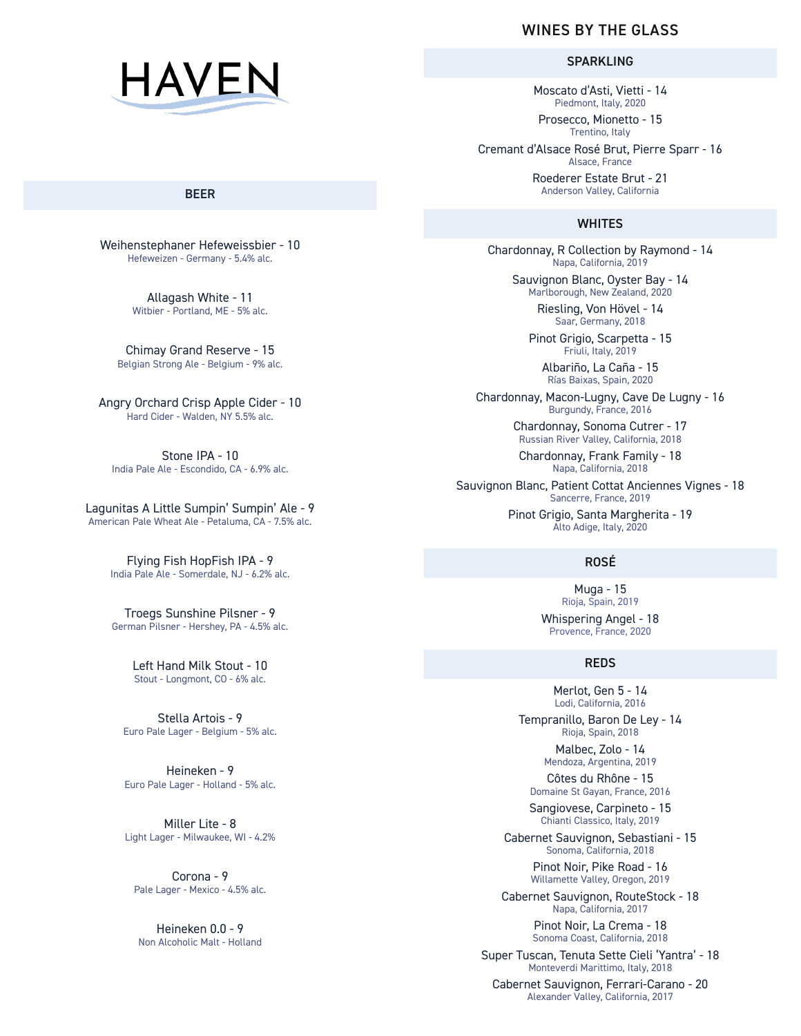

### BEER

Weihenstephaner Hefeweissbier - 10 Hefeweizen - Germany - 5.4% alc.

> Allagash White - 11 Witbier - Portland, ME - 5% alc.

Chimay Grand Reserve - 15 Belgian Strong Ale - Belgium - 9% alc.

Angry Orchard Crisp Apple Cider - 10 Hard Cider - Walden, NY 5.5% alc.

Stone IPA - 10 India Pale Ale - Escondido, CA - 6.9% alc.

Lagunitas A Little Sumpin' Sumpin' Ale - 9 American Pale Wheat Ale - Petaluma, CA - 7.5% alc.

> Flying Fish HopFish IPA - 9 India Pale Ale - Somerdale, NJ - 6.2% alc.

Troegs Sunshine Pilsner - 9 German Pilsner - Hershey, PA - 4.5% alc.

> Left Hand Milk Stout - 10 Stout - Longmont, CO - 6% alc.

Stella Artois - 9 Euro Pale Lager - Belgium - 5% alc.

Heineken - 9 Euro Pale Lager - Holland - 5% alc.

Miller Lite - 8 Light Lager - Milwaukee, WI - 4.2%

Corona - 9 Pale Lager - Mexico - 4.5% alc.

Heineken 0.0 - 9 Non Alcoholic Malt - Holland

# WINES BY THE GLASS

SPARKLING

Moscato d'Asti, Vietti - 14 Piedmont, Italy, 2020

Prosecco, Mionetto - 15 Trentino, Italy

Cremant d'Alsace Rosé Brut, Pierre Sparr - 16 Alsace, France

> Roederer Estate Brut - 21 Anderson Valley, California

## **WHITES**

Chardonnay, R Collection by Raymond - 14 Napa, California, 2019

Sauvignon Blanc, Oyster Bay - 14 Marlborough, New Zealand, 2020

Riesling, Von Hövel - 14 Saar, Germany, 2018

Pinot Grigio, Scarpetta - 15 Friuli, Italy, 2019

Albariño, La Caña - 15 Rías Baixas, Spain, 2020

Chardonnay, Macon-Lugny, Cave De Lugny - 16 Burgundy, France, 2016

> Chardonnay, Sonoma Cutrer - 17 Russian River Valley, California, 2018

Chardonnay, Frank Family - 18 Napa, California, 2018

Sauvignon Blanc, Patient Cottat Anciennes Vignes - 18 Sancerre, France, 2019

> Pinot Grigio, Santa Margherita - 19 Alto Adige, Italy, 2020

# ROSÉ

Muga - 15 Rioja, Spain, 2019

Whispering Angel - 18 Provence, France, 2020

## REDS

Merlot, Gen 5 - 14 Lodi, California, 2016

Tempranillo, Baron De Ley - 14 Rioja, Spain, 2018

> Malbec, Zolo - 14 Mendoza, Argentina, 2019

Côtes du Rhône - 15 Domaine St Gayan, France, 2016

Sangiovese, Carpineto - 15 Chianti Classico, Italy, 2019

Cabernet Sauvignon, Sebastiani - 15 Sonoma, California, 2018

> Pinot Noir, Pike Road - 16 Willamette Valley, Oregon, 2019

Cabernet Sauvignon, RouteStock - 18 Napa, California, 2017

> Pinot Noir, La Crema - 18 Sonoma Coast, California, 2018

Super Tuscan, Tenuta Sette Cieli 'Yantra' - 18 Monteverdi Marittimo, Italy, 2018

Cabernet Sauvignon, Ferrari-Carano - 20 Alexander Valley, California, 2017